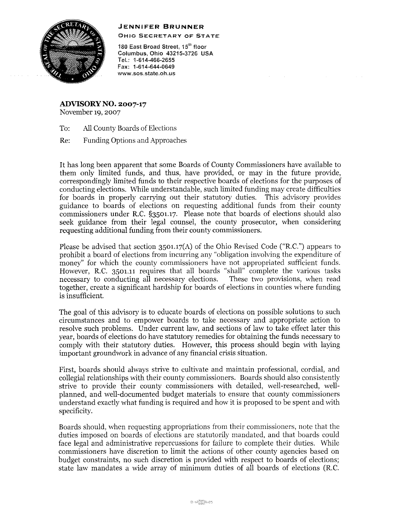## **JENNIFER BRUNNER**



OHIO SECRETARY OF STATE

180 East Broad Street, 15<sup>th</sup> floor Columbus, Ohio 43215-3726 USA TeL: 1-614-466-2655 Fax: 1-614-644-0649 **www.sos.state.oh.us** 

**ADVISORY NO. 2007-17**  November 19, 2007

To: All County Boards of Elections

Re: Funding Options and Approaches

It has long been apparent that some Boards of County Commissioners have available to them only limited funds, and thus, have provided, or may in the future provide, correspondingly limited funds to their respective boards of elections for the purposes of conducting elections. While understandable, such limited funding may create difficulties for boards in properly carrying out their statutory duties. This advisory provides guidance to boards of elections on requesting additional funds from their county commissioners under R.C. §3501.17. Please note that boards of elections should also seek guidance from their legal counsel, the county prosecutor, when considering requesting additional funding from their county commissioners.

Please be advised that section 3501.17(A) of the Ohio Revised Code ("R.C.") appears to prohibit a board of elections from incurring any "obligation involving the expenditure of money" for which the county commissioners have not appropriated sufficient funds. However, R.C. 3501.11 requires that all boards "shall" complete the various tasks necessary to conducting all necessary elections. These two provisions, when read necessary to conducting all necessary elections. together, create a significant hardship for boards of elections in counties where funding is insufficient.

The goal of this advisory is to educate boards of elections on possible solutions to such circumstances and to empower boards to take necessary and appropriate action to resolve such problems. Under current law, and sections of law to take effect later this year, boards of elections do have statutory remedies for obtaining the funds necessary to comply with their statutory duties. However, this process should begin with laying important groundwork in advance of any financial crisis situation.

First, boards should always strive to cultivate and maintain professional, cordial, and collegial relationships with their county commissioners. Boards shonld also consistently strive to provide their county commissioners with detailed, well-researched, wellplanned, and well-documented budget materials to ensure that county commissioners understand exactly what funding is required and how it is proposed to be spent and with specificity.

Boards should, when requesting appropriations from their commissioners, note that the duties imposed on boards of elections are statutorily mandated, and that boards could face legal and administrative repercussions for failure to complete their duties. While commissioners have discretion to limit the actions of other county agencies based on budget constraints, no such discretion is provided with respect to boards of elections; state law mandates a wide array of minimum duties of all boards of elections (R.C.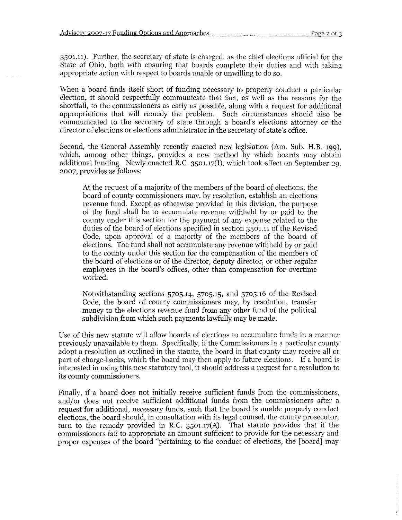3501.11). Further, the secretary of state is charged, as the chief elections official for the State of Ohio, both with ensuring that boards complete their duties and with taking appropriate action with respect to boards unable or unwilling to do so.

When a board finds itself short of funding necessary to properly conduct a particular election, it should respectfully communicate that fact, as well as the reasons for the shortfall, to the commissioners as early as possible, along with a request for additional appropriations that will remedy the problem. Such circumstances should also be communicated to the secretary of state through a board's elections attorney or the director of elections or elections administrator in the secretary of state's office.

Second, the General Assembly recently enacted new legislation (Am. Sub. H.B. 199), which, among other things, provides a new method by which boards may obtain additional funding. Newly enacted R.C. 3501.17(!), which took effect on September 29, 2007, provides as follows:

At the request of a majority of the members of the board of elections, the board of county commissioners may, by resolution, establish an elections revenue fund. Except as otherwise provided in this division, the purpose of the fund shall be to accumulate revenue withheld by or paid to the county under this section for the payment of any expense related to the duties of the board of elections specified in section 3501.11 of the Revised Code, upon approval of a majority of the members of the board of elections. The fund shall not accumulate any revenue withheld by or paid to the county under this section for the compensation of the members of the board of elections or of the director, deputy director, or other regular employees in the board's offices, other than compensation for overtime worked.

Notwithstanding sections 5705.14, 5705.15, and 5705.16 of the Revised Code, the board of county commissioners may, by resolution, transfer money to the elections revenue fund from any other fund of the political subdivision from which such payments lawfully may be made.

Use of this new statute will allow boards of elections to accumulate funds in a manner previously unavailable to them. Specifically, if the Commissioners in a particular county adopt a resolution as outlined in the statute, the board in that county may receive all or part of charge-backs, which the board may then apply to future elections. If a board is interested in using this new statutory tool, it should address a request for a resolution to its county commissioners.

Finally, if a board does not initially receive sufficient funds from the commissioners, and/or does not receive sufficient additional funds from the commissioners after a request for additional, necessary funds, such that the board is unable properly conduct elections, the board should, in consultation with its legal counsel, the county prosecutor, turn to the remedy provided in R.C. 3501.17(A). That statute provides that if the commissioners fail to appropriate an amount sufficient to provide for the necessary and proper expenses of the board "pertaining to the conduct of elections, the [board] may